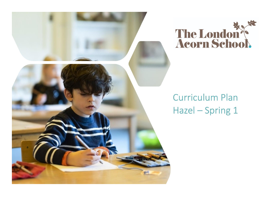



# **Curriculum Plan** Hazel - Spring 1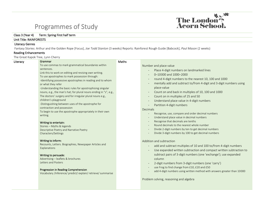## Programmes of Study



### Class 3 (Year 4) Term: Spring First half term

#### Unit Title: RAINFORESTS

#### Literacy Genres

Fantasy Stories: Arthur and the Golden Rope [Focus], *Joe Todd Stanton* (3 weeks) Reports: Rainforest Rough Guide [Babcock], *Paul Mason* (2 weeks)

#### Reading Enhancements

The Great Kapok Tree, Lynn Cherry

| Literacy | Grammar                                                                                 | Maths |                                                                          |
|----------|-----------------------------------------------------------------------------------------|-------|--------------------------------------------------------------------------|
|          | To use commas to mark grammatical boundaries within                                     |       | Number and place value                                                   |
|          | sentences.                                                                              |       | Place 4-digit numbers on landmarked lines                                |
|          | Link this to work on editing and revising own writing.                                  |       | 0-10000 and 1000-2000                                                    |
|          | To use apostrophes to mark possession through:                                          |       | round 4-digit numbers to the nearest 10, 100 and 1000                    |
|          | -Identifying possessive apostrophes in reading and to whom                              |       | mentally add and subtract to/from 4-digit and 3-digit numbers using      |
|          | or what they refer                                                                      |       | place-value                                                              |
|          | -Understanding the basic rules for apostrophising singular                              |       |                                                                          |
|          | nouns, e.g., the man's hat; for plural nouns ending in "s", e.g.,                       |       | Count on and back in multiples of 10, 100 and 1000                       |
|          | The doctors' surgery and for irregular plural nouns e.g.,                               |       | Count on in multiples of 25 and 50                                       |
|          | children's playground                                                                   |       | Understand place value in 4-digit numbers                                |
|          | -Distinguishing between uses of the apostrophe for                                      |       | Partition 4-digit numbers                                                |
|          | contraction and possession<br>To begin to use the apostrophe appropriately in their own |       | Decimals                                                                 |
|          | writing.                                                                                |       | Recognise, use, compare and order decimal numbers                        |
|          |                                                                                         |       | Understand place value in decimal numbers                                |
|          | Writing to entertain:                                                                   |       | Recognise that decimals are tenths                                       |
|          | Stories - Myths & legends                                                               |       | Round decimals to the nearest whole number                               |
|          | Descriptive Poetry and Narrative Poetry                                                 |       | Divide 2-digit numbers by ten to get decimal numbers                     |
|          | Characters/Settings                                                                     |       | Divide 3-digit numbers by 100 to get decimal numbers                     |
|          | Writing to inform:                                                                      |       | Addition and subtraction                                                 |
|          | Recounts, Letters. Biographies, Newspaper Articles and                                  |       | add and subtract multiples of 10 and 100 to/from 4-digit numbers         |
|          | Explanations                                                                            |       | Use expanded written subtraction and compact written subtraction to      |
|          |                                                                                         |       |                                                                          |
|          | Writing to persuade:                                                                    |       | subtract pairs of 3-digit numbers (one 'exchange'); use expanded         |
|          | Advertising - leaflets & brochures<br>Letters and Posters                               |       | column                                                                   |
|          |                                                                                         |       | 2-digit numbers from 3-digit numbers (one 'carry')                       |
|          | Progression in Reading Comprehension                                                    |       | use Frog to find change from £10, £20 and £50                            |
|          | Vocabulary /Inference/ predict/ explain/ retrieve/ summarise                            |       | add 4-digit numbers using written method with answers greater than 10000 |
|          |                                                                                         |       |                                                                          |
|          |                                                                                         |       | Problem solving, reasoning and algebra                                   |
|          |                                                                                         |       |                                                                          |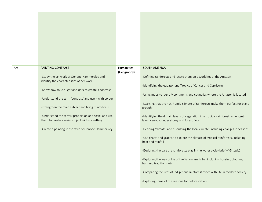| Art | PAINTING-CONTRAST                                                                                              | Humanities<br>(Geography) | <b>SOUTH AMERICA</b>                                                                                                            |
|-----|----------------------------------------------------------------------------------------------------------------|---------------------------|---------------------------------------------------------------------------------------------------------------------------------|
|     | -Study the art work of Oenone Hammersley and<br>identify the characteristics of her work                       |                           | -Defining rainforests and locate them on a world map- the Amazon                                                                |
|     |                                                                                                                |                           | -Identifying the equator and Tropics of Cancer and Capricorn                                                                    |
|     | -Know how to use light and dark to create a contrast<br>-Understand the term 'contrast' and use it with colour |                           | -Using maps to identify continents and countries where the Amazon is located                                                    |
|     | -strengthen the main subject and bring it into focus                                                           |                           | -Learning that the hot, humid climate of rainforests make them perfect for plant<br>growth                                      |
|     | -Understand the terms 'proportion and scale' and use<br>them to create a main subject within a setting         |                           | -Identifying the 4 main layers of vegetation in a tropical rainforest: emergent<br>layer, canopy, under storey and forest floor |
|     | -Create a painting in the style of Oenone Hammersley                                                           |                           | -Defining 'climate' and discussing the local climate, including changes in seasons                                              |
|     |                                                                                                                |                           | -Use charts and graphs to explore the climate of tropical rainforests, including<br>heat and rainfall                           |
|     |                                                                                                                |                           | -Exploring the part the rainforests play in the water cycle (briefly Y5 topic)                                                  |
|     |                                                                                                                |                           | -Exploring the way of life of the Yanomami tribe, including housing, clothing,<br>hunting, traditions, etc.                     |
|     |                                                                                                                |                           | -Comparing the lives of indigenous rainforest tribes with life in modern society                                                |
|     |                                                                                                                |                           | -Exploring some of the reasons for deforestation                                                                                |
|     |                                                                                                                |                           |                                                                                                                                 |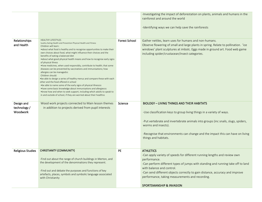|                                        |                                                                                                                                                                                                                                                                                                                                                                                                                                                                                                                                                                                                                                                                                                                                                                                                                                                                                                                                                                                                                               |                      | -Investigating the impact of deforestation on plants, animals and humans in the<br>rainforest and around the world<br>-Identifying ways we can help save the rainforests                                                                                                                                                                                                                      |
|----------------------------------------|-------------------------------------------------------------------------------------------------------------------------------------------------------------------------------------------------------------------------------------------------------------------------------------------------------------------------------------------------------------------------------------------------------------------------------------------------------------------------------------------------------------------------------------------------------------------------------------------------------------------------------------------------------------------------------------------------------------------------------------------------------------------------------------------------------------------------------------------------------------------------------------------------------------------------------------------------------------------------------------------------------------------------------|----------------------|-----------------------------------------------------------------------------------------------------------------------------------------------------------------------------------------------------------------------------------------------------------------------------------------------------------------------------------------------------------------------------------------------|
| Relationships<br>and Health            | <b>HEALTHY LIFESTYLES</b><br>healthy Eating Health and Prevention Physical Health and Fitness<br>Children will learn:<br>.about what food is healthy and to recognise opportunities to make their<br>own choices about food, what might influence their choices and the<br>benefits of eating a balanced diet<br>.about what good physical health means and how to recognise early signs<br>of physical illness<br>•how medicines, when used responsibly, contribute to health; that some<br>diseases can be prevented by vaccinations and immunisations; how<br>allergies can be managedsg<br>Children should:<br>. be able to design a series of healthy menus and compare these with each<br>other and the food offered in school<br>• be able to name some of the early signs of physical illnesssG<br>• have some basic knowledge about immunisations and allergiess of<br>. know how and when to seek support, including which adults to speak to<br>in and outside of school, if they are worried about their healthsg | <b>Forest School</b> | Gather nettles, learn uses for humans and non-humans.<br>Observe flowering of small and large plants in spring. Relate to pollination. 'ice<br>windows' plant sculptures at imbolc. Eggs made in ground art. Food web game<br>including spider/crustacean/insect categories.                                                                                                                  |
| Design and<br>technology /<br>Woodwork | Wood work projects connected to Main lesson themes<br>in addition to projects derived from pupil interests                                                                                                                                                                                                                                                                                                                                                                                                                                                                                                                                                                                                                                                                                                                                                                                                                                                                                                                    | Science              | <b>BIOLOGY - LIVING THINGS AND THEIR HABITATS</b><br>-Use classification keys to group living things in a variety of ways.<br>-Put vertebrate and invertebrate animals into groups (inc snails, slugs, spiders,<br>worms and insects).<br>-Recognise that environments can change and the impact this can have on living<br>things and habitats.                                              |
| <b>Religious Studies</b>               | <b>CHRISTIANITY (COMMUNITY)</b><br>-Find out about the range of church buildings in Merton, and<br>the development of the denominations they represent.<br>-Find out and debate the purposes and functions of key<br>artefacts, places, symbols and symbolic language associated<br>with Christianity                                                                                                                                                                                                                                                                                                                                                                                                                                                                                                                                                                                                                                                                                                                         | <b>PE</b>            | <b>ATHLETICS</b><br>-Can apply variety of speeds for different running lengths and review own<br>performance.<br>-Can perform different types of jumps with standing and running take off to land<br>with balance and control.<br>-Can send different objects correctly to gain distance, accuracy and improve<br>performance, taking measurements and recording.<br>SPORTSMANSHIP & INVASION |